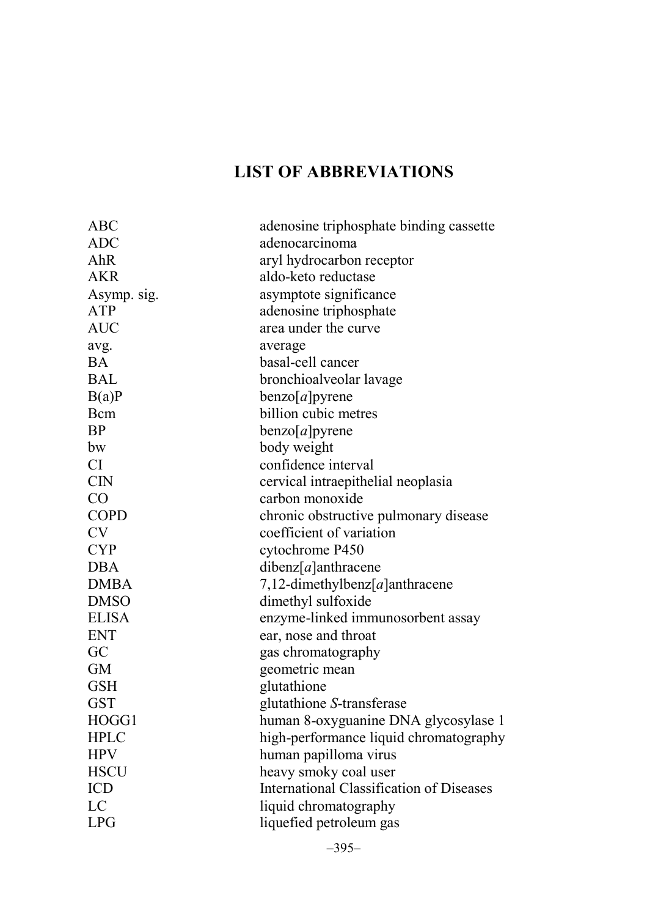## **LIST OF ABBREVIATIONS**

| ABC          | adenosine triphosphate binding cassette  |
|--------------|------------------------------------------|
| ADC          | adenocarcinoma                           |
| AhR          | aryl hydrocarbon receptor                |
| AKR          | aldo-keto reductase                      |
| Asymp. sig.  | asymptote significance                   |
| <b>ATP</b>   | adenosine triphosphate                   |
| <b>AUC</b>   | area under the curve                     |
| avg.         | average                                  |
| BA           | basal-cell cancer                        |
| <b>BAL</b>   | bronchioalveolar lavage                  |
| B(a)P        | benzo[a]pyrene                           |
| Bcm          | billion cubic metres                     |
| <b>BP</b>    | benzo[a]pyrene                           |
| bw           | body weight                              |
| CI           | confidence interval                      |
| <b>CIN</b>   | cervical intraepithelial neoplasia       |
| CO           | carbon monoxide                          |
| <b>COPD</b>  | chronic obstructive pulmonary disease    |
| <b>CV</b>    | coefficient of variation                 |
| <b>CYP</b>   | cytochrome P450                          |
| <b>DBA</b>   | $diberz[a]$ anthracene                   |
| <b>DMBA</b>  | 7,12-dimethylbenz $[a]$ anthracene       |
| <b>DMSO</b>  | dimethyl sulfoxide                       |
| <b>ELISA</b> | enzyme-linked immunosorbent assay        |
| <b>ENT</b>   | ear, nose and throat                     |
| GC           | gas chromatography                       |
| <b>GM</b>    | geometric mean                           |
| <b>GSH</b>   | glutathione                              |
| <b>GST</b>   | glutathione S-transferase                |
| HOGG1        | human 8-oxyguanine DNA glycosylase 1     |
| <b>HPLC</b>  | high-performance liquid chromatography   |
| <b>HPV</b>   | human papilloma virus                    |
| <b>HSCU</b>  | heavy smoky coal user                    |
| <b>ICD</b>   | International Classification of Diseases |
| LC           | liquid chromatography                    |
| <b>LPG</b>   | liquefied petroleum gas                  |